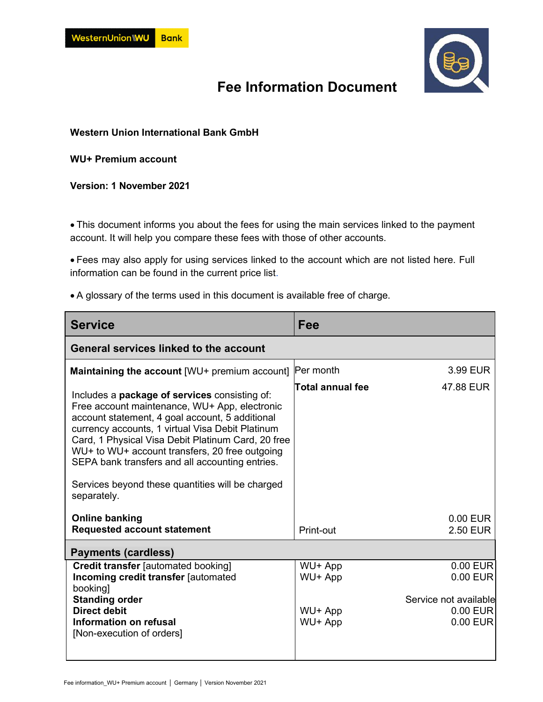

## **Fee Information Document**

**Western Union International Bank GmbH** 

**WU+ Premium account** 

**Version: 1 November 2021** 

 This document informs you about the fees for using the main services linked to the payment account. It will help you compare these fees with those of other accounts.

 Fees may also apply for using services linked to the account which are not listed here. Full information can be found in the current [price list.](https://docs.n26.com/legal/02+AT/01+Account/en/13account-pricelist-en.pdf)

A glossary of the terms used in this document is available free of charge.

| <b>Service</b>                                                                                                                                                                                                                                                                                                                                                                                                                             | Fee                |                                               |  |
|--------------------------------------------------------------------------------------------------------------------------------------------------------------------------------------------------------------------------------------------------------------------------------------------------------------------------------------------------------------------------------------------------------------------------------------------|--------------------|-----------------------------------------------|--|
| General services linked to the account                                                                                                                                                                                                                                                                                                                                                                                                     |                    |                                               |  |
| <b>Maintaining the account [WU+ premium account]</b>                                                                                                                                                                                                                                                                                                                                                                                       | Per month          | 3.99 EUR                                      |  |
| Includes a <b>package of services</b> consisting of:<br>Free account maintenance, WU+ App, electronic<br>account statement, 4 goal account, 5 additional<br>currency accounts, 1 virtual Visa Debit Platinum<br>Card, 1 Physical Visa Debit Platinum Card, 20 free<br>WU+ to WU+ account transfers, 20 free outgoing<br>SEPA bank transfers and all accounting entries.<br>Services beyond these quantities will be charged<br>separately. | Total annual fee   | 47.88 EUR                                     |  |
| <b>Online banking</b><br><b>Requested account statement</b>                                                                                                                                                                                                                                                                                                                                                                                | Print-out          | 0.00 EUR<br>2.50 EUR                          |  |
| <b>Payments (cardless)</b>                                                                                                                                                                                                                                                                                                                                                                                                                 |                    |                                               |  |
| <b>Credit transfer [automated booking]</b><br>Incoming credit transfer [automated<br>booking]<br><b>Standing order</b>                                                                                                                                                                                                                                                                                                                     | WU+ App<br>WU+ App | 0.00 EUR<br>0.00 EUR<br>Service not available |  |
| <b>Direct debit</b><br>Information on refusal<br>[Non-execution of orders]                                                                                                                                                                                                                                                                                                                                                                 | WU+ App<br>WU+ App | $0.00$ EUR<br>0.00 EUR                        |  |